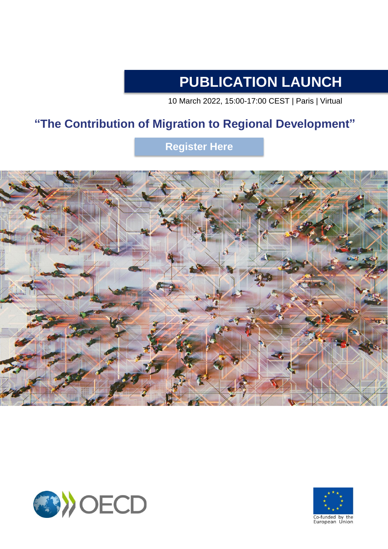# **PUBLICATION LAUNCH**

10 March 2022, 15:00-17:00 CEST | Paris | Virtual

## **"The Contribution of Migration to Regional Development"**

**[Register](https://meetoecd1.zoom.us/webinar/register/WN_aK64EtxsT4emqIIooJaQ0w) Here**





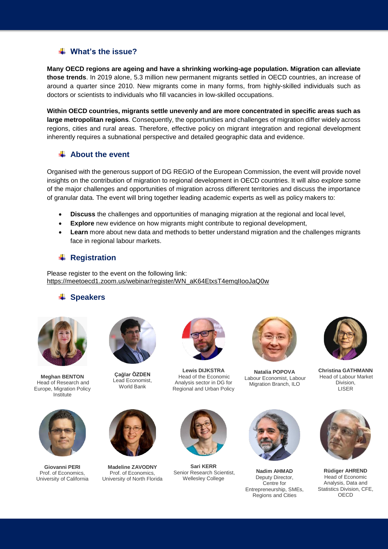#### **What's the issue?**

**Many OECD regions are ageing and have a shrinking working-age population. Migration can alleviate those trends**. In 2019 alone, 5.3 million new permanent migrants settled in OECD countries, an increase of around a quarter since 2010. New migrants come in many forms, from highly-skilled individuals such as doctors or scientists to individuals who fill vacancies in low-skilled occupations.

**Within OECD countries, migrants settle unevenly and are more concentrated in specific areas such as large metropolitan regions**. Consequently, the opportunities and challenges of migration differ widely across regions, cities and rural areas. Therefore, effective policy on migrant integration and regional development inherently requires a subnational perspective and detailed geographic data and evidence.

#### **About the event**

Organised with the generous support of DG REGIO of the European Commission, the event will provide novel insights on the contribution of migration to regional development in OECD countries. It will also explore some of the major challenges and opportunities of migration across different territories and discuss the importance of granular data. The event will bring together leading academic experts as well as policy makers to:

- **Discuss** the challenges and opportunities of managing migration at the regional and local level,
- **Explore** new evidence on how migrants might contribute to regional development,
- **Learn** more about new data and methods to better understand migration and the challenges migrants face in regional labour markets.

### **← Registration**

Please register to the event on the following link: [https://meetoecd1.zoom.us/webinar/register/WN\\_aK64EtxsT4emqIIooJaQ0w](https://meetoecd1.zoom.us/webinar/register/WN_aK64EtxsT4emqIIooJaQ0w)

#### **Speakers**



**Meghan BENTON** Head of Research and Europe, Migration Policy Institute



**Giovanni PERI**  Prof. of Economics, University of California



**Çağlar ÖZDEN** Lead Economist, World Bank



**Madeline ZAVODNY** Prof. of Economics, University of North Florida



**Lewis DIJKSTRA** Head of the Economic Analysis sector in DG for Regional and Urban Policy



**Sari KERR**  Senior Research Scientist, Wellesley College



**Natalia POPOVA** Labour Economist, Labour Migration Branch, ILO



**Nadim AHMAD**  Deputy Director, Centre for Entrepreneurship, SMEs, Regions and Cities



**Christina GATHMANN** Head of Labour Market Division, LISER



**Rüdiger AHREND**  Head of Economic Analysis, Data and Statistics Division, CFE, OECD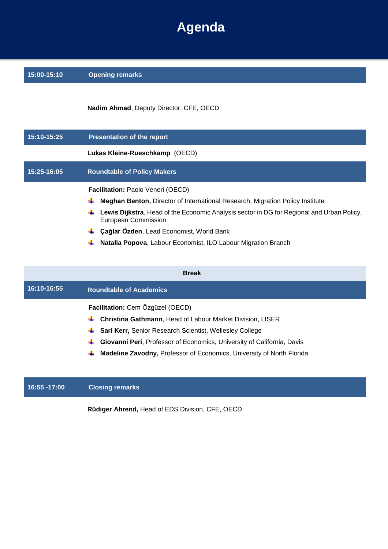# **Agenda**

| 15:00-15:10 | <b>Opening remarks</b>                                                                                                  |
|-------------|-------------------------------------------------------------------------------------------------------------------------|
|             | Nadim Ahmad, Deputy Director, CFE, OECD                                                                                 |
| 15:10-15:25 | <b>Presentation of the report</b>                                                                                       |
|             | Lukas Kleine-Rueschkamp (OECD)                                                                                          |
| 15:25-16:05 | <b>Roundtable of Policy Makers</b>                                                                                      |
|             | Facilitation: Paolo Veneri (OECD)                                                                                       |
|             |                                                                                                                         |
|             | <b>Meghan Benton, Director of International Research, Migration Policy Institute</b>                                    |
|             | Lewis Dijkstra, Head of the Economic Analysis sector in DG for Regional and Urban Policy,<br><b>European Commission</b> |
|             | Çağlar Özden, Lead Economist, World Bank                                                                                |

| <b>Break</b> |                                                                                   |
|--------------|-----------------------------------------------------------------------------------|
| 16:10-16:55  | <b>Roundtable of Academics</b>                                                    |
|              | Facilitation: Cem Özgüzel (OECD)                                                  |
|              | <b>Christina Gathmann, Head of Labour Market Division, LISER</b>                  |
|              | <b>Sari Kerr, Senior Research Scientist, Wellesley College</b>                    |
|              | Giovanni Peri, Professor of Economics, University of California, Davis<br>÷       |
|              | <b>Madeline Zavodny, Professor of Economics, University of North Florida</b><br>₩ |
|              |                                                                                   |
|              |                                                                                   |

### **16:55 -17:00 Closing remarks**

**Rüdiger Ahrend,** Head of EDS Division, CFE, OECD